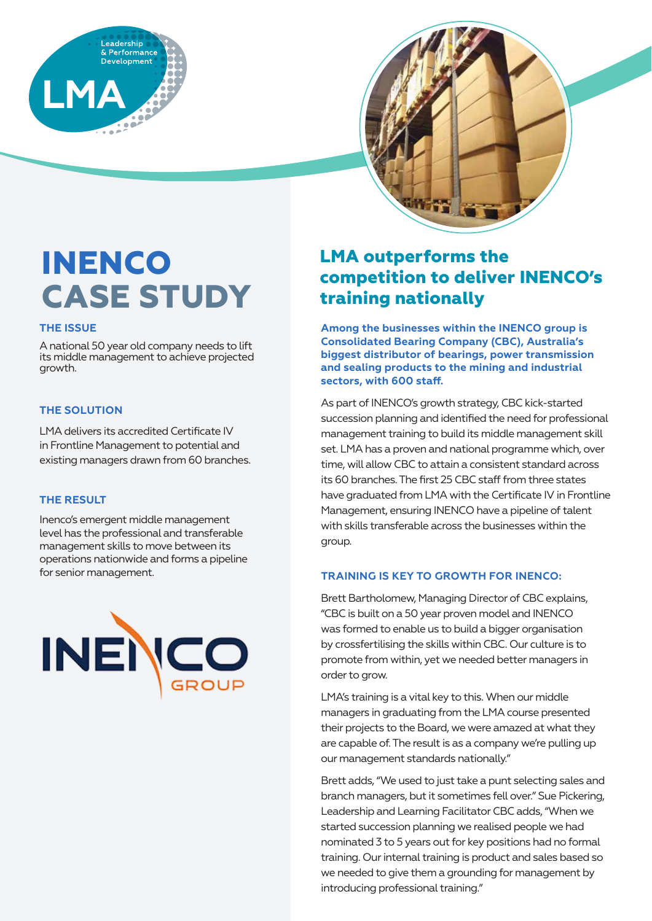



# **INENCO CASE STUDY**

### **THE ISSUE**

A national 50 year old company needs to lift its middle management to achieve projected growth.

### **THE SOLUTION**

LMA delivers its accredited Certificate IV in Frontline Management to potential and existing managers drawn from 60 branches.

### **THE RESULT**

Inenco's emergent middle management level has the professional and transferable management skills to move between its operations nationwide and forms a pipeline for senior management.



### **LMA outperforms the competition to deliver INENCO's training nationally**

**Among the businesses within the INENCO group is Consolidated Bearing Company (CBC), Australia's biggest distributor of bearings, power transmission and sealing products to the mining and industrial sectors, with 600 staff.**

As part of INENCO's growth strategy, CBC kick-started succession planning and identified the need for professional management training to build its middle management skill set. LMA has a proven and national programme which, over time, will allow CBC to attain a consistent standard across its 60 branches. The first 25 CBC staff from three states have graduated from LMA with the Certificate IV in Frontline Management, ensuring INENCO have a pipeline of talent with skills transferable across the businesses within the group.

### **TRAINING IS KEY TO GROWTH FOR INENCO:**

Brett Bartholomew, Managing Director of CBC explains, "CBC is built on a 50 year proven model and INENCO was formed to enable us to build a bigger organisation by crossfertilising the skills within CBC. Our culture is to promote from within, yet we needed better managers in order to grow.

LMA's training is a vital key to this. When our middle managers in graduating from the LMA course presented their projects to the Board, we were amazed at what they are capable of. The result is as a company we're pulling up our management standards nationally."

Brett adds, "We used to just take a punt selecting sales and branch managers, but it sometimes fell over." Sue Pickering, Leadership and Learning Facilitator CBC adds, "When we started succession planning we realised people we had nominated 3 to 5 years out for key positions had no formal training. Our internal training is product and sales based so we needed to give them a grounding for management by introducing professional training."